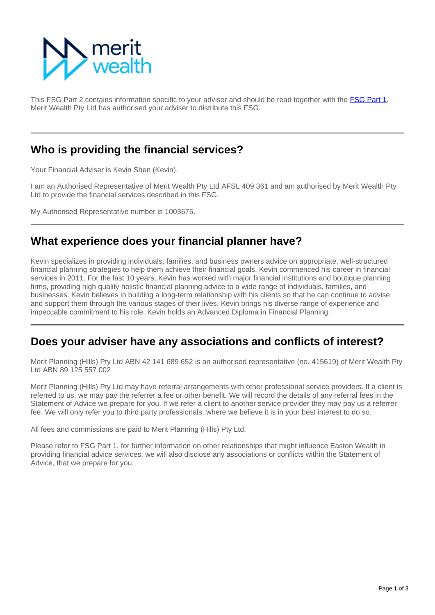

This FSG Part 2 contains information specific to your adviser and should be read together with the [FSG Part 1](https://info.eastonwealth.com.au/FinancialServicesGuide). Merit Wealth Pty Ltd has authorised your adviser to distribute this FSG.

### **Who is providing the financial services?**

Your Financial Adviser is Kevin Shen (Kevin).

I am an Authorised Representative of Merit Wealth Pty Ltd AFSL 409 361 and am authorised by Merit Wealth Pty Ltd to provide the financial services described in this FSG.

My Authorised Representative number is 1003675.

## **What experience does your financial planner have?**

Kevin specializes in providing individuals, families, and business owners advice on appropriate, well-structured financial planning strategies to help them achieve their financial goals. Kevin commenced his career in financial services in 2011. For the last 10 years, Kevin has worked with major financial institutions and boutique planning firms, providing high quality holistic financial planning advice to a wide range of individuals, families, and businesses. Kevin believes in building a long-term relationship with his clients so that he can continue to advise and support them through the various stages of their lives. Kevin brings his diverse range of experience and impeccable commitment to his role. Kevin holds an Advanced Diploma in Financial Planning.

### **Does your adviser have any associations and conflicts of interest?**

Merit Planning (Hills) Pty Ltd ABN 42 141 689 652 is an authorised representative (no. 415619) of Merit Wealth Pty Ltd ABN 89 125 557 002

Merit Planning (Hills) Pty Ltd may have referral arrangements with other professional service providers. If a client is referred to us, we may pay the referrer a fee or other benefit. We will record the details of any referral fees in the Statement of Advice we prepare for you. If we refer a client to another service provider they may pay us a referrer fee. We will only refer you to third party professionals, where we believe it is in your best interest to do so.

All fees and commissions are paid to Merit Planning (Hills) Pty Ltd.

Please refer to FSG Part 1, for further information on other relationships that might influence Easton Wealth in providing financial advice services, we will also disclose any associations or conflicts within the Statement of Advice, that we prepare for you.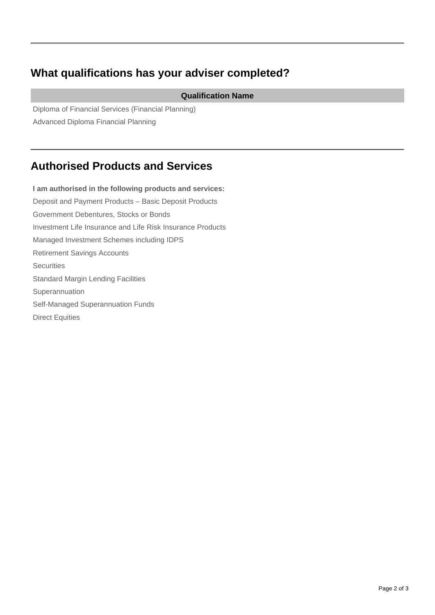# **What qualifications has your adviser completed?**

#### **Qualification Name**

Diploma of Financial Services (Financial Planning) Advanced Diploma Financial Planning

## **Authorised Products and Services**

**I am authorised in the following products and services:** Deposit and Payment Products – Basic Deposit Products Government Debentures, Stocks or Bonds Investment Life Insurance and Life Risk Insurance Products Managed Investment Schemes including IDPS Retirement Savings Accounts **Securities** Standard Margin Lending Facilities Superannuation Self-Managed Superannuation Funds Direct Equities